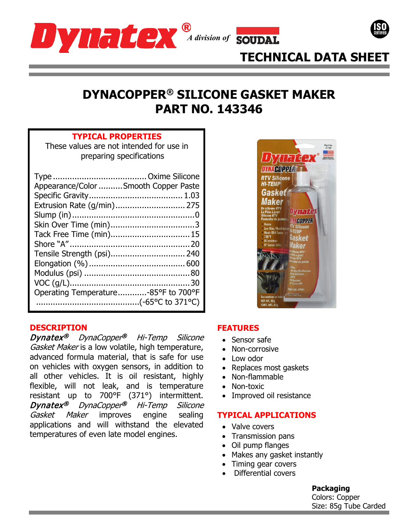





# **TECHNICAL DATA SHEET**

# **DYNACOPPER® SILICONE GASKET MAKER PART NO. 143346**

### **TYPICAL PROPERTIES**

These values are not intended for use in preparing specifications

| Appearance/Color Smooth Copper Paste |  |
|--------------------------------------|--|
|                                      |  |
| Extrusion Rate (g/min) 275           |  |
|                                      |  |
| Tack Free Time (min) 15              |  |
|                                      |  |
| Tensile Strength (psi) 240           |  |
|                                      |  |
|                                      |  |
|                                      |  |
| Operating Temperature-85°F to 700°F  |  |
|                                      |  |

# **DESCRIPTION**

Dynatex® DynaCopper® Hi-Temp Silicone Gasket Maker is a low volatile, high temperature, advanced formula material, that is safe for use on vehicles with oxygen sensors, in addition to all other vehicles. It is oil resistant, highly flexible, will not leak, and is temperature resistant up to 700°F (371°) intermittent. Dynatex® DynaCopper® Hi-Temp Silicone Gasket Maker improves engine sealing applications and will withstand the elevated temperatures of even late model engines.



# **FEATURES**

- Sensor safe
- Non-corrosive
- Low odor
- Replaces most gaskets
- Non-flammable
- Non-toxic
- Improved oil resistance

## **TYPICAL APPLICATIONS**

- Valve covers
- Transmission pans
- Oil pump flanges
- Makes any gasket instantly
- Timing gear covers
- Differential covers

#### **Packaging**

Colors: Copper Size: 85g Tube Carded